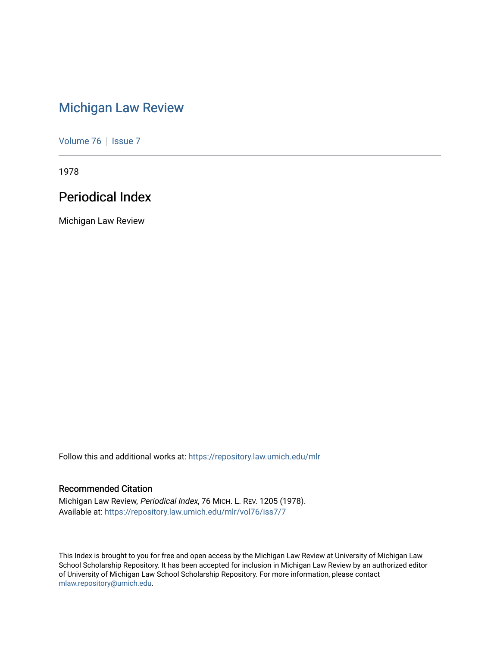# [Michigan Law Review](https://repository.law.umich.edu/mlr)

[Volume 76](https://repository.law.umich.edu/mlr/vol76) | [Issue 7](https://repository.law.umich.edu/mlr/vol76/iss7)

1978

# Periodical Index

Michigan Law Review

Follow this and additional works at: [https://repository.law.umich.edu/mlr](https://repository.law.umich.edu/mlr?utm_source=repository.law.umich.edu%2Fmlr%2Fvol76%2Fiss7%2F7&utm_medium=PDF&utm_campaign=PDFCoverPages) 

### Recommended Citation

Michigan Law Review, Periodical Index, 76 MICH. L. REV. 1205 (1978). Available at: [https://repository.law.umich.edu/mlr/vol76/iss7/7](https://repository.law.umich.edu/mlr/vol76/iss7/7?utm_source=repository.law.umich.edu%2Fmlr%2Fvol76%2Fiss7%2F7&utm_medium=PDF&utm_campaign=PDFCoverPages)

This Index is brought to you for free and open access by the Michigan Law Review at University of Michigan Law School Scholarship Repository. It has been accepted for inclusion in Michigan Law Review by an authorized editor of University of Michigan Law School Scholarship Repository. For more information, please contact [mlaw.repository@umich.edu.](mailto:mlaw.repository@umich.edu)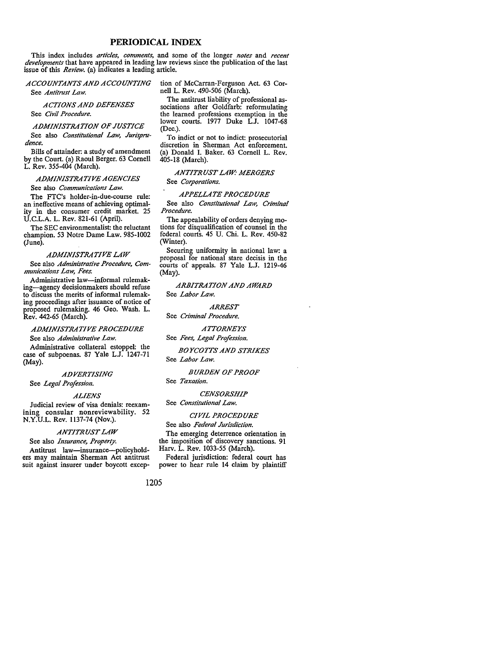### **PERIODICAL INDEX**

This index includes *articles, comments,* and some of the longer *notes* and *recent developments* that have appeared in leading law reviews since the publication of the last issue of this *Review.* (a) indicates a leading article.

*ACCOUNTANTS AND ACCOUNTING*  See *Antitmst Law.* 

*ACTIONS AND DEFENSES*  See *Civil Procedure.* 

*ADMINISTRATION OF JUSTICE* 

See also *Constitutional Law, Jurisprudence.* 

Bills of attainder: a study of amendment by the Court. (a) Raoul Berger. 63 Cornell L. Rev. 355-404 (March).

*ADMINISTRATIVE AGENCIES* 

See also *Communications Law.* 

The FTC's holder-in-due-course rule: an ineffective means of achieving optimality in the consumer credit market. 25 U.C.L.A. L. Rev. 821-61 (April).

The SEC environmentalist: the reluctant champion. 53 Notre Dame Law. 985-1002 (June).

#### *ADMINISTRATIVE LAW*

See also *Administrative Procedure, Communications Law, Fees.* 

Administrative law-informal rulemaking-agency decisionmakers should refuse to discuss the merits of informal rulemaking proceedings after issuance of notice of proposed rulemaking. 46 Geo. Wash. L. Rev. 442-65 (March).

*ADMINISTRATIVE PROCEDURE* 

See also *Administrative Law.* 

Administrative collateral estoppel: the case of subpoenas. 87 Yale L.J. 1247-71 (May).

### *ADVERTISING*

See *Legal Profession.* 

#### *ALIENS*

Judicial review of visa denials: reexamining consular nonreviewability. 52 N.Y.U.L. Rev. ll37-74 (Nov.).

### *ANTITRUST LAW*

See also *Insurance, Property.*  Antitrust law-insurance-policyhold- ers may maintain Sherman Act antitrust suit against insurer under boycott exception of McCarran-Ferguson Act. 63 Cornell L. Rev. 490-506 (March).

The antitrust liability of professional associations after Goldfarb: reformulating the learned professions exemption in the lower courts. 1977 Duke L.J. 1047-68 (Dec.).

To indict or not to indict: prosecutorial discretion in Sherman Act enforcement. (a) Donald I. Baker. 63 Cornell L. Rev. 405-18 (March).

### *ANTITRUST LAW: MERGERS*

See *Corporations.* 

#### *APPELLATE PROCEDURE*

See also *Constitutional Law, Criminal Procedure.* 

The appealability of orders denying mo-<br>tions for disqualification of counsel in the federal courts. 45 U. Chi. L. Rev. 450-82 (Winter).

Securing uniformity in national law: a proposal for national stare decisis in the courts of appeals. 87 Yale L.J. 1219-46 (May).

#### **ARBITRATION AND AWARD** See *Labor Law.*

*ARREST* 

See *Criminal Procedure.* 

### *A'ITORNEYS*

See *Fees, Legal Profession.* 

*BOYCO'ITS AND STRIKES*  See *Labor Law.* 

#### *BURDEN OF PROOF*

See *Taxation.* 

#### *CENSORSHIP*  See *Constitutional Law.*

### *CIVIL PROCEDURE*

See also *Federal Jurisdiction.*  The emerging deterrence orientation in

the imposition of discovery sanctions. 91 Harv. L. Rev. 1033-55 (March).

Federal jurisdiction: federal court has power to hear rule 14 claim by plaintiff

#### 1205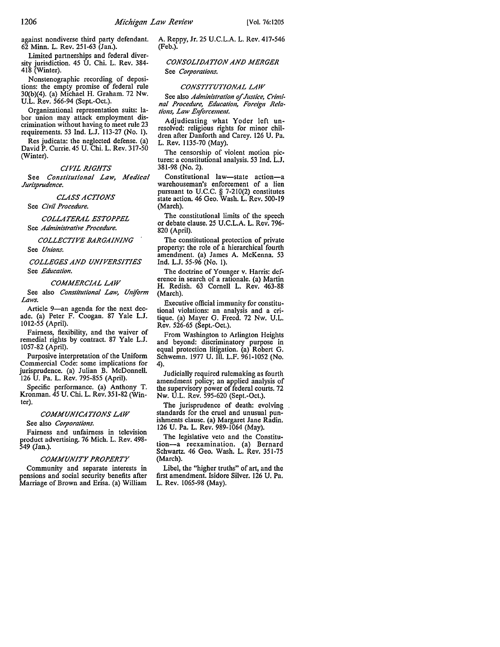against nondiverse third party defendant. 62 Minn. L. Rev. 251-63 (Jan.).

Limited partnerships and federal diversity jurisdiction. 45 U. Chi. L. Rev. 384- 418 (Winter).

Nonstenographic recording of depositions: the empty promise of federal rule 30(b)(4). (a) Michael H. Graham. 72 Nw. U.L. Rev. 566-94 (Sept.-Oct.).

Organizational representation suits: labor union may attack employment discrimination without having to meet rule 23 requirements. 53 Ind. L.J. 113-27 (No. l).

Res judicata: the neglected defense. (a) David P. Currie. 45 U. Chi. L. Rev. 317-50 (Winter).

#### *CIVIL RIGHTS*

See *Constitutional Law, Medical Jurisprudence.* 

#### *CLASS ACTIONS*

See *Civil Procedure.* 

### *COLLATERAL £STOPPEL*  See *Administrative Procedure.*

*COLLECTIVE BARGAINING* 

See *Unions.* 

*COLLEGES AND UNIVERSITIES*  See *Education.* 

#### *COMMERCIAL LAW*

See also *Constitutional Law, Un!form Laws.* 

Article 9-an agenda for the next decade. (a) Peter F. Coogan. 87 Yale L.J. 1012-55 (April).

Fairness, flexibility, and the waiver of remedial rights by contract. 87 Yale L.J. 1057-82 (April).

Purposive interpretation of the Uniform Commercial Code: some implications for jurisprudence. (a) Julian B. McDonnell. 126 U. Pa. L. Rev. 795-855 (April).

Specific performance. (a) Anthony T. Kronman. 45 U. Chi. L. Rev. 351-82 (Winter).

#### *COMMUNICATIONS LAW*

See also *Corporations.* 

Fairness and unfairness in television product advertising. 76 Mich. L. Rev. 498- 549 (Jan.).

#### *COMMUNITY PROPERTY*

Community and separate interests in pensions and social security benefits after Marriage of Brown and Erisa. (a) William A. Reppy, Jr. 25 U.C.L.A. L. Rev. 417-546 (Feb.).

*CONSOLIDATION AND MERGER*  See *Corporations.* 

#### *CONSTITUTIONAL LAW*

See also *Administration of Justice*, Crimi*nal Procedure, Education, Foreign Relations, Law Enforcement.* 

Adjudicating what Yoder left un- resolved: religious rights for minor children after Danforth and Carey. 126 U. Pa. L. Rev. 1135-70 (May).

The censorship of violent motion pictures: a constitutional analysis. 53 Ind. L.J. 381-98 (No. 2).

Constitutional law-state action-a warehouseman's enforcement of a lien pursuant to U.C.C. § 7-210(2) constitutes state action. 46 Geo. Wash. L. Rev. 500-19 (March).

The constitutional limits of the speech or debate clause. 25 U.C.L.A. L. Rev. 796- 820 (April).

The constitutional protection of private property: the role of a hierarchical fourth amendment. (a) James A. McKenna. 53 Ind. L.J. 55-96 (No. I).

The doctrine of Younger v. Harris: deference in search of a rationale. (a) Martin H. Redish. 63 Cornell L. Rev. 463-88 (March).

Executive official immunity for constitutional violations: an analysis and a critique. (a) Mayer G. Freed. 72 Nw. U.L. Rev. 526-65 (Sept.-Oct.).

From Washington to Arlington Heights and beyond: discriminatory purpose in equal protection litigation. (a) Robert G. Schwemn. 1977 U. Ill. L.F. 961-1052 (No. 4).

Judicially required rulemaking as fourth amendment policy; an applied analysis of the supervisory power of federal courts. 72 Nw. U.L. Rev. 595-620 (Sept.-Oet.).

The jurisprudence of death: evolving standards for the cruel and unusual punishments clause. (a) Margaret Jane Radin. 126 U. Pa. L. Rev. 989-1064 (May).

The legislative veto and the Constitution-a reexamination. (a) Bernard Schwartz. 46 Geo. Wash. L. Rev. 351-75 (March).

Libel, the "higher truths" of art, and the first amendment. Isidore Silver. 126 U. Pa. L. Rev. 1065-98 (May).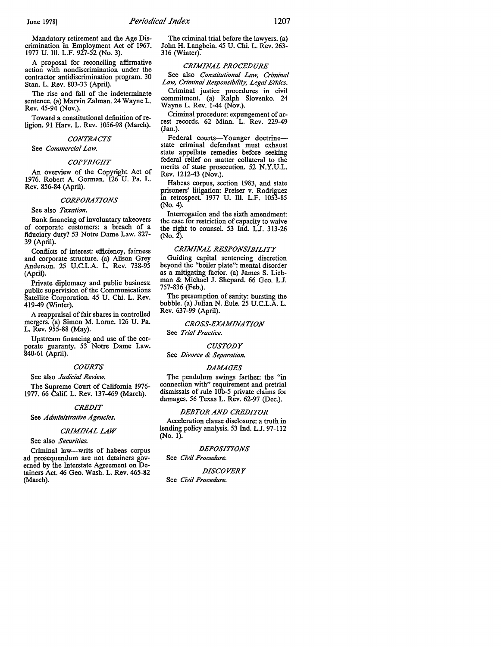Mandatory retirement and the Age Discrimination in Employment Act of 1967. 1977 U. Ill. L.F. 927-52 (No. 3).

A proposal for reconciling affirmative action with nondiscrimination under the contractor antidiscrimination program. 30 Stan. L. Rev. 803-33 (April).

The rise and fall of the indeterminate sentence. (a) Marvin Zalman. 24 Wayne L. Rev. 45-94 (Nov.).

Toward a constitutional definition of religion. 91 Harv. L. Rev. 1056-98 (March).

#### *CONTRACTS*

See *Commercial Law.* 

#### *COPYRIGHT*

An overview of the Copyright Act of 1976. Robert A. Gorman. 126 U. Pa. L. Rev. 856-84 (April).

#### *CORPORATIONS*

#### See also *Taxation.*

Bank financing of involuntary takeovers of corporate customers: a breach of a fiduciary duty? 53 Notre Dame Law. 827- 39 (April).

Conflicts of interest: efficiency, fairness and corporate structure. (a) Alison Grey Anderson. 25 U.C.L.A. L. Rev. 738-95 (April).

Private diplomacy and public business: public supervision of the Communications Satellite Corporation. 45 U. Chi. L. Rev. 419-49 (Winter).

A reappraisal of fair shares in controlled mergers. (a) Simon M. Lome. 126 U. Pa. L. Rev. 955-88 (May).

Upstream financing and use of the corporate guaranty. 53 Notre Dame Law. 840-61 (April).

#### *COURTS*

See also *Judicial Review.* 

The Supreme Court of California 1976- 1977. 66 Calif. L. Rev. 137-469 (March).

#### *CREDIT*

See *Administrative Agencies.* 

#### *CRIMINAL LAW*

#### See also *Securities.*

Criminal law-writs of habeas corpus ad prosequendum are not detainers governed by the Interstate Agreement on Detainers Act. 46 Geo. Wash. L. Rev. 465-82 (March).

The criminal trial before the lawyers. (a) John H. Langbein. 45 U. Chi. L. Rev. 263- 316 (Winter).

#### *CRIMINAL PROCEDURE*

See also *Constitutional Law, Criminal Law, Criminal Responsibility, Legal Ethics.*  Criminal justice procedures in civil

commitment. (a) Ralph Slovenko. 24 Wayne L. Rev. 1-44 (Nov.).

Criminal procedure: expungement of ar- rest records. 62 Minn. L. Rev. 229-49 (Jan.).

Federal courts-Younger doctrinestate criminal defendant must exhaust state appellate remedies before seeking federal relief on matter collateral io the merits of state prosecution. 52 N.Y.U.L. Rev. 1212-43 (Nov.).

Habeas corpus, section 1983, and state prisoners' litigation: Preiser v. Rodriguez in retrospect. 1977 U. III. L.F. 1053-85 (No. 4).

Interrogation and the sixth amendment: the case for restriction of capacity to waive the right to counsel. 53 Ind. L.J. 313-26 (No. 2).

#### *CRIMINAL RESPONSIBILITY*

Guiding capital sentencing discretion beyond the "boiler plate": mental disorder as a mitigating factor. (a) James S. Liebman & Michael J. Shepard. 66 Geo. L.J. 757-836 (Feb.).

The presumption of sanity: bursting the bubble. (a) Julian N. Eule. 25 U.C.L.A. L. Rev. 637-99 (April).

*CROSS-EXAMINATION* 

See *Trial Practice.* 

#### *CUSTODY*

See *Divorce & Separation.* 

#### *DAMAGES*

The pendulum swings farther: the "in connection with" requirement and pretrial dismissals of rule IOb-5 private claims for damages. 56 Texas L. Rev. 62-97 (Dec.).

#### *DEBTOR AND CREDITOR*

Acceleration clause disclosure: a truth in lending policy analysis. 53 Ind. L.J.97-112 (No. 1).

#### *DEPOSITIONS*

#### See *Civil Procedure.*

*DISCOVERY*  See *Civil Procedure.*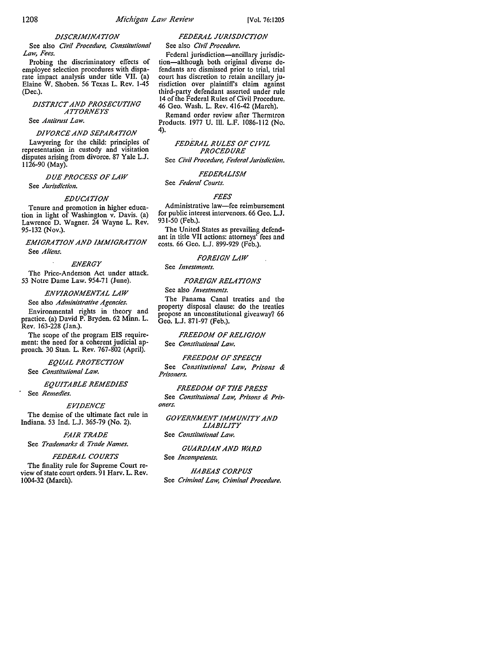### *DISCRIMINATION*

See also *Civil Procedure, Constitutional Law, Fees.* 

Probing the discriminatory effects of employee selection procedures with disparate impact analysis under title VII. (a) Elaine W. Shoben. 56 Texas L. Rev. 1-45 (Dec.).

### *DISTRICT AND PROSECUTING AITORNEYS*

### See *Antitrust Law.*

### *DIVORCE AND SEPARATION*

Lawyering for the child: principles of representation in custody and visitation disputes arising from divorce. 87 Yale L.J. 1126-90 (May).

*DUE PROCESS OF LAW*  See *Jurisdiction.* 

### *EDUCATION*

Tenure and promotion in higher education in light of Washington v. Davis. (a) Lawrence D. Wagner. 24 Wayne L. Rev. 95-132 (Nov.).

*EMIGRATION AND IMMIGRATION*  See *Aliens.* 

#### *ENERGY*

The Price-Anderson Act under attack. 53 Notre Dame Law. 954-71 (June).

*ENVIRONMENTAL LAW* 

See also *Administrative Agencies.* 

Environmental rights in theory and practice. (a) David P. Bryden. 62 Minn. L. Rev. 163-228 (Jan.).

The scope of the program EIS requirement: the need for a coherent judicial approach. 30 Stan. L. Rev. 767-802 (April).

# *EQUAL PROTECTION*

See *Constitutional Law.* 

### *EQUITABLE REMEDIES*

See *Remedies.* 

#### *EVIDENCE*

The demise of the ultimate fact rule in Indiana. 53 Ind. L.J. 365-79 (No. 2).

### *FAIR TRADE*

See *Trademarks & Trade Names.* 

### *FEDERAL COURTS*

The finality rule for Supreme Court review of state court orders. 91 Harv. L. Rev. 1004-32 (March).

### *FEDERAL JURISDICTION*

### See also *Civil Procedure.*

Federal jurisdiction-ancillary jurisdiction-although both original diverse defendants are dismissed prior to trial, trial court has discretion to retain ancillary jurisdiction over plaintiffs claim against third-party defendant asserted under rule 14 of the Federal Rules of Civil Procedure. 46 Geo. Wash. L. Rev. 416-42 (March).

Remand order review after Thermtron Products. 1977 U. 111. L.F. 1086-112 (No. 4).

*FEDERAL RULES OF CIVIL PROCEDURE*  See *Civil Procedure, Federal Jurisdiction.* 

*FEDERALISM* 

### See *Federal Courts.*

#### *FEES*

Administrative law-fee reimbursement for public interest intervenors. 66 Geo. L.J. 931-50 (Feb.).

The United States as prevailing defendant in title VII actions: attorneys' fees and costs. 66 Geo. L.J. 899-929 (Feb.).

### *FOREIGN LAW*

#### See *Investments.*

#### *FOREIGN RELATIONS*

### See also *Investments.*

The Panama Canal treaties and the property disposal clause: do the treaties propose an unconstitutional giveaway? 66 Geo. L.J. 871-97 (Feb.).

### *FREEDOM OF RELIGION*

See *Constitutional Law.* 

#### *FREEDOM OF SPEECH*

See *Constitutional Law, Prisons & Prisoners.* 

#### *FREEDOM OF THE PRESS*  See *Constitutional Law, Prisons & Pris-*

*oners.* 

#### *GOVERNMENT IMMUNITY AND LIABILITY*

See *Constitutional Law.* 

### *GUARDIAN AND WRD*  See *Incompetents.*

*HABEAS CORPUS*  See *Criminal Law, Criminal Procedure.*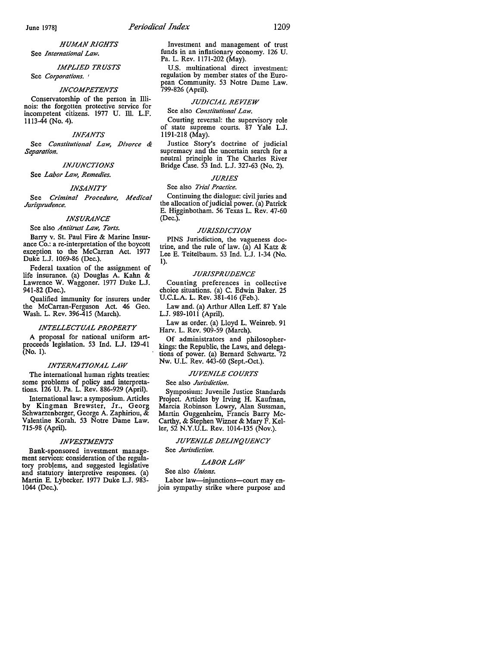#### *HUMAN RIGHTS*  See *International Law.*

*IMPLIED TRUSTS* 

See *Corporations.* '

#### *INCOMPETENTS*

Conservatorship of the person in Illinois: the forgotten protective service for incompetent citizens. 1977 U. Ill. L.F. 1113-44 (No. 4).

#### *INFANTS*

See *Constitutional Law, Divorce & Separation.* 

#### *INJUNCTIONS*

See *Labor Law, Remedies.* 

#### *INSANITY*

See *Criminal Procedure, Medical Jurisprudence.* 

#### *INSURANCE*

#### See also *Antitrust Law, Torts.*

Barry v. St. Paul Fire & Marine Insurance Co.: a re-interpretation of the boycott exception to the McCarran Act. 1977 Duke L.J. 1069-86 (Dec.).

Federal taxation of the assignment of life insurance. (a) Douglas A. Kahn & Lawrence W. Waggoner. 1977 Duke L.J. 941-82 (Dec.).

Qualified immunity for insurers under the McCarran-Ferguson Act. 46 Geo. Wash. L. Rev. 396-415 (March).

#### *INTELLECTUAL PROPERTY*

A proposal for national uniform artproceeds legislation. 53 Ind. LJ. 129-41 (No. 1).

#### *INTERNATIONAL LAW*

The international human rights treaties: some problems of policy and interpretations. 126 U. Pa. L. Rev. 886-929 (April).

International law: a symposium. Articles by Kingman Brewster, Jr., Georg Schwarzenberger, George A. Zaphiriou, & Valentine Korah. 53 Notre Dame Law. 715-98 (April).

#### *INVESTMENTS*

Bank-sponsored investment management services: consideration of the regulatory prob!ems, and suggested legislative and statutory interpretive responses. (a) Martin E. Lybecker. 1977 Duke L.J. 983- 1044 (Dec.).

Investment and management of trust funds in an inflationary economy. 126 U. Pa. L. Rev. 1171-202 (May).

U.S. multinational direct investment: regulation by member states of the European Community. 53 Notre Dame Law. 799-826 (April).

#### *JUDICIAL REVIEW*

See also *Constitutional Law.* 

Courting reversal: the supervisory role of state supreme courts. 87 Yale L.J. ll91-218 (May).

Justice Story's doctrine of judicial supremacy and the uncertain search for a neutral principle in The Charles River Bridge Case. 53 Ind. L.J. 327-63 (No. 2).

#### *JURIES*

#### See also *Trial Practice.*

Continuing the dialogue: civil juries and the allocation of judicial power. (a) Patrick E. Higginbotham. 56 Texas L. Rev. 47-60 (Dec.).

#### *JURISDICTION*

PINS Jurisdiction, the vagueness doctrine, and the rule of law. (a) Al Katz & Lee E. Teitelbaum. 53 Ind. L.J. 1-34 (No. 1).

#### *JURISPRUDENCE*

Counting preferences in collective choice situations. (a) C. Edwin Baker. 25 U.C.L.A. L. Rev. 381-416 (Feb.).

Law and. (a) Arthur Allen Leff. 87 Yale L.J. 989-lOll (April).

Law as order. (a) Lloyd L. Weinreb. 91 Harv. L. Rev. 909-59 (March).

Of administrators and philosopherkings: the Republic, the Laws, and delegations of power. (a) Bernard Schwartz. 72 Nw. U.L. Rev. 443-60 (Sept.-Oct.).

#### *JUVENILE COURTS*

#### See also *Jurisdiction.*

Symposium: Juvenile Justice Standards Project. Articles by Irving H. Kaufman, Marcia Robinson Lowry, Alan Sussman, Martin Guggenheim, Francis Barry Mc-Carthy, & Stephen Wizner & Mary F. Keller, 52 N.Y.U.L. Rev. 1014-135 (Nov.).

### *JUVENILE DELINQUENCY*

See *Jurisdiction.* 

#### *LABOR LAW*

See also *Unions.* 

Labor law-injunctions-court may enjoin sympathy strike where purpose and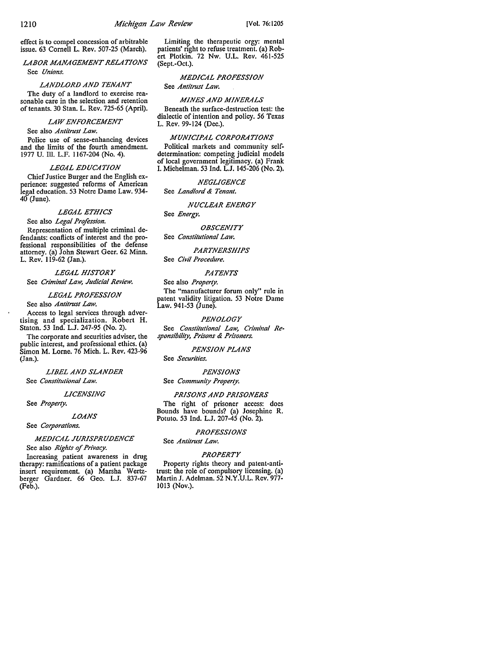effect is to compel concession of arbitrable issue. 63 Cornell L. Rev. 507-25 (March).

*LABOR MANAGEMENT RELATIONS*  See *Unions.* 

*LANDLORD AND TENANT*  The duty of a landlord to exercise reasonable care in the selection and retention of tenants. 30 Stan. L. Rev. 725-65 (April).

### *LAW ENFORCEMENT*

#### See also *Antitrust Law*.

Police use of sense-enhancing devices and the limits of the fourth amendment. 1977 U. Ill. L.F. 1167-204 (No. 4).

#### *LEGAL EDUCATION*

Chief Justice Burger and the English experience: suggested reforms of American legal education. 53 Notre Dame Law. 934-  $40$  (June).

#### *LEGAL ETHICS*

See also *Legal Profession.* 

Representation of multiple criminal defendants: conflicts of interest and the professional responsibilities of the defense attorney. (a) John Stewart Geer. 62 Minn. L. Rev. 119-62 (Jan.).

*LEGAL HISTORY*  See *Criminal Law, Judicial Review.* 

#### *LEGAL PROFESSION*  See also *Antitrust Law*.

Access to legal services through advertising and specialization. Robert H. Staton. 53 Ind. L.J. 247-95 (No. 2).

The corporate and securities adviser, the public interest, and professional ethics. (a) Simon M. Lorne. 76 Mich. L. Rev. 423-96 (Jan.).

*LIBEL AND SLANDER*  See *Constitutional Law.* 

*LICENSING* 

See *Property.* 

*LOANS* 

See *Corporations.* 

## *MEDICAL JURISPRUDENCE*

See also *Rights of Privacy.* 

Increasing patient awareness in drug therapy: ramifications of a patient package insert requirement. (a) Marsha Wertzberger Gardner. 66 Geo. L.J. 837-67 (Feb.).

Limiting the therapeutic orgy: mental patients' right to refuse treatment. (a) Robert Plotkin. 72 Nw. U.L. Rev. 461-525 (Sept.-Oct.).

### *MEDICAL PROFESSION*

See *Antitmst Law.* 

### *MINES AND MINERALS*

Beneath the surface-destruction test: the dialectic of intention and policy. 56 Texas L. Rev. 99-124 (Dec.).

#### *MUNICIPAL CORPORATIONS*

Political markets and community selfdetermination: competing judicial models of local government legitimacy. (a) Frank I. Michelman. 53 Ind. L.J. 145-206 (No. 2).

#### *NEGLIGENCE*

Sec *Landlord & Tenant.* 

#### *NUCLEAR ENERGY*

Sec *Energy.* 

### *OBSCENJTY*

Sec *Constitutional Law.* 

#### *PARTNERSHIPS*

Sec *Civil Procedure.* 

#### *PATENTS*

Sec also *Property.* 

The "manufacturer forum only" rule in patent validity litigation. 53 Notre Dame Law. 941-53 (June).

#### *PENOLOGY*

See *Constitutional Law, Criminal Responsibility, Prisons & Prisoners.* 

#### *PENSION PLANS*

Sec *Securities.* 

#### *PENSIONS*

See *Community Property.* 

#### *PRISONS AND PRISONERS*

The right of prisoner access: docs Bounds have bounds? (a) Josephine R. Potuto. 53 Ind. L.J. 207-45 (No. 2).

#### *PROFESSIONS*

See *Antitmst Law.* 

#### *PROPERTY*

Property rights theory and patent-antitrust: the role of compulsory licensing. (a) Martin J. Adelman. 52 N.Y.U.L. Rev. 977- 1013 (Nov.).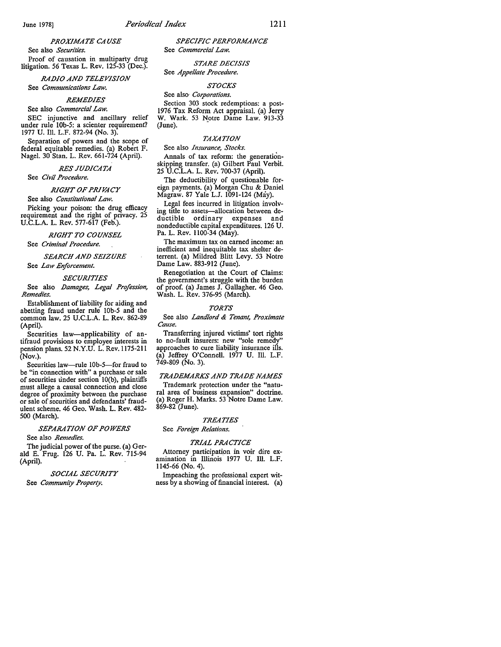### *PROXIMATE CA USE*

See also *Securities.* 

Proof of causation in multiparty drug litigation. 56 Texas L. Rev. 125-33 (Dec.).

*RADIO AND TELEVISION*  See *Communications Law.* 

#### *REMEDIES*

See also *Commercial Law.* 

SEC injunctive and ancillary relief under rule lOb-5: a scienter requirement? 1977 U. Ill. L.F. 872-94 (No. 3).

Separation of powers and the scope of federal equitable remedies. (a) Robert F. Nagel. 30 Stan. L. Rev. 661-724 (April).

## **RES JUDICATA**

See *Civil Procedure.* 

#### *RIGHT OF PRIVACY*

#### See also *Constitutional Law.*

Picking your poison: the drug efficacy requirement and the right of privacy. 25 U.C.L.A. L. Rev. 577-617 (Feb.).

#### *RIGHT TO COUNSEL*

See *Criminal Procedure.* 

### *SEARCH AND SEIZURE*

See *Law Enforcement*.

#### *SECURITIES*

See also *Damages, Legal Profession, Remedies.* 

Establishment of liability for aiding and abetting fraud under rule lOb-5 and the common law. 25 U.C.L.A. L. Rev. 862-89 (April).

Securities law-applicability of an-<br>tifraud provisions to employee interests in pension plans. 52 N.Y.U. L. Rev. 1175-211 (Nov.).

Securities law-rule 10b-5-for fraud to be "in connection with" a purchase or sale of securities under section 10(b), plaintiffs must allege a causal connection and close degree of proximity between the purchase or sale of securities and defendants' fraudulent scheme. 46 Geo. Wash. L. Rev. 482- 500 (March).

#### *SEPARATION OF POWERS*

See also *Remedies.* 

The judicial power of the purse. (a) Gerald E. Frug. 126 U. Pa. L. Rev. 715-94 (April).

#### *SOCIAL SECURITY*

See *Community Property.* 

*SPECIFIC PERFORMANCE*  See *Commercial Law.* 

#### STARE DECISIS See *Appellate Procedure.*

### *STOCKS*

See also- *Corporations.* 

Section 303 stock redemptions: a post-1976 Tax Reform Act appraisal. (a) Jerry W. Wark. 53 Notre Dame Law. 913-33  $(June).$ 

#### *TAXATION*

See also *Insurance, Stocks.* 

Annals of tax reform: the generationskipping transfer. (a) Gilbert Paul Verbit. 25 U.C.L.A. L. Rev. 700-37 (April).

The deductibility of questionable foreign payments. (a) Morgan Chu & Daniel Magraw. 87 Yale L.J. 1091-124 (May).

Legal fees incurred in litigation involving title to assets-allocation between deductible ordinary expenses and nondeductible capital expenditures. 126 U. Pa. L. Rev. 1100-34 (May).

The maximum tax on earned income: an inefficient and inequitable tax shelter deterrent. (a) Mildred Blitt Levy. 53 Notre Dame Law. 883-912 (June).

Renegotiation at the Court of Claims: the government's struggle with the burden of proof. (a) James J. Gallagher. 46 Geo. Wash. L. Rev. 376-95 (March).

#### *TORTS*

#### See also *Landlord & Tenant, Proximate Cause.*

Transferring injured victims' tort rights to no-fault insurers: new "sole remedy" approaches to cure liability insurance ills. (a) Jeffrey O'Connell. 1977 U. Ill. L.F. 749-809 (No. 3).

#### *TRADEMARKS AND TRADE NAMES*

Trademark protection under the "natural area of business expansion" doctrine. (a) Roger H. Marks. 53 Notre Dame Law. 869-82 (June).

#### *TREATIES*

### See *Foreign Relations.*

#### *TRIAL PRACTICE*

Attorney participation in voir dire ex-<br>amination in Illinois 1977 U. Ill. L.F. 1145-66 (No. 4).

Impeaching the professional expert witness by a showing of financial interest. (a)